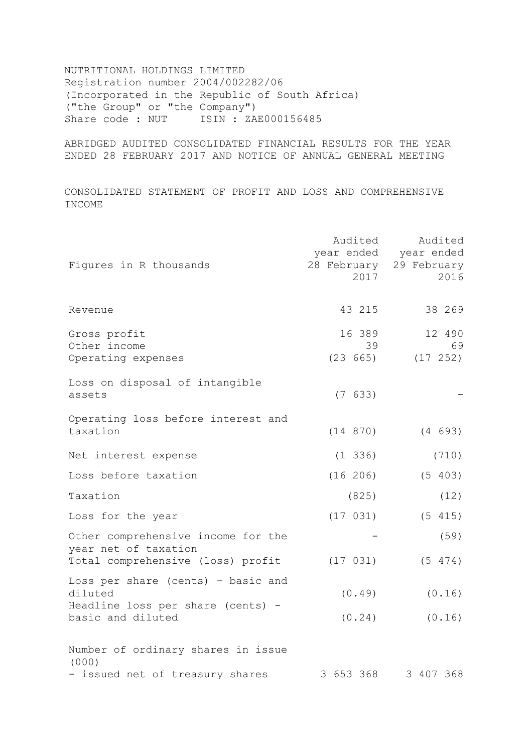NUTRITIONAL HOLDINGS LIMITED Registration number 2004/002282/06 (Incorporated in the Republic of South Africa) ("the Group" or "the Company") Share code : NUT ISIN : ZAE000156485

ABRIDGED AUDITED CONSOLIDATED FINANCIAL RESULTS FOR THE YEAR ENDED 28 FEBRUARY 2017 AND NOTICE OF ANNUAL GENERAL MEETING

CONSOLIDATED STATEMENT OF PROFIT AND LOSS AND COMPREHENSIVE INCOME

| Figures in R thousands                                                                          | Audited<br>2017          | Audited<br>year ended year ended<br>28 February 29 February<br>2016 |
|-------------------------------------------------------------------------------------------------|--------------------------|---------------------------------------------------------------------|
| Revenue                                                                                         | 43 215                   | 38 269                                                              |
| Gross profit<br>Other income<br>Operating expenses                                              | 16 389<br>39<br>(23 665) | 12 490<br>69<br>(17 252)                                            |
| Loss on disposal of intangible<br>assets                                                        | (7 633)                  |                                                                     |
| Operating loss before interest and<br>taxation                                                  | (14 870)                 | (4 693)                                                             |
| Net interest expense                                                                            | $(1\;336)$               | (710)                                                               |
| Loss before taxation                                                                            | (16 206)                 | (5 403)                                                             |
| Taxation                                                                                        | (825)                    | (12)                                                                |
| Loss for the year                                                                               | (17 031)                 | (5 415)                                                             |
| Other comprehensive income for the<br>year net of taxation<br>Total comprehensive (loss) profit | (17 031)                 | (59)<br>(5 474)                                                     |
| Loss per share (cents) - basic and<br>diluted<br>Headline loss per share (cents) -              | (0.49)                   | (0.16)                                                              |
| basic and diluted<br>Number of ordinary shares in issue                                         | (0.24)                   | (0.16)                                                              |
| (000)<br>- issued net of treasury shares                                                        | 3 653 368                | 3 407 368                                                           |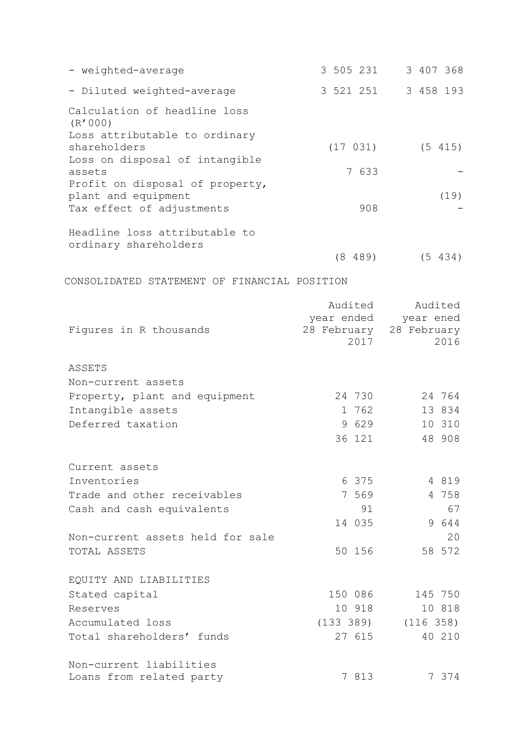| - weighted-average                               | 3 505 231   | 3 407 368   |
|--------------------------------------------------|-------------|-------------|
| - Diluted weighted-average                       | 3 521 251   | 3 458 193   |
| Calculation of headline loss                     |             |             |
| (R'000)                                          |             |             |
| Loss attributable to ordinary<br>shareholders    | (17 031)    | (5 415)     |
| Loss on disposal of intangible                   |             |             |
| assets                                           | 7 633       |             |
| Profit on disposal of property,                  |             |             |
| plant and equipment<br>Tax effect of adjustments | 908         | (19)        |
|                                                  |             |             |
| Headline loss attributable to                    |             |             |
| ordinary shareholders                            |             |             |
|                                                  | (8 489)     | (5 434)     |
| CONSOLIDATED STATEMENT OF FINANCIAL POSITION     |             |             |
|                                                  | Audited     | Audited     |
|                                                  | year ended  | year ened   |
| Figures in R thousands                           | 28 February | 28 February |
|                                                  | 2017        | 2016        |
| ASSETS                                           |             |             |
| Non-current assets                               |             |             |
| Property, plant and equipment                    | 24 730      | 24 764      |
| Intangible assets                                | 1 762       | 13 834      |
| Deferred taxation                                | 9 629       | 10 310      |
|                                                  | 36 121      | 48 908      |
| Current assets                                   |             |             |
| Inventories                                      | 6 375       | 4 8 1 9     |
| Trade and other receivables                      | 7 569       | 4 758       |
| Cash and cash equivalents                        | 91          | 67          |
|                                                  | 14 035      | 9 644       |
| Non-current assets held for sale                 |             | 20          |
| TOTAL ASSETS                                     | 50 156      | 58 572      |
| EQUITY AND LIABILITIES                           |             |             |
| Stated capital                                   | 150 086     | 145 750     |
| Reserves                                         | 10 918      | 10 818      |
| Accumulated loss                                 | (133 389)   | (116 358)   |
| Total shareholders' funds                        | 27 615      | 40 210      |
| Non-current liabilities                          |             |             |
| Loans from related party                         | 7 813       | 7 374       |
|                                                  |             |             |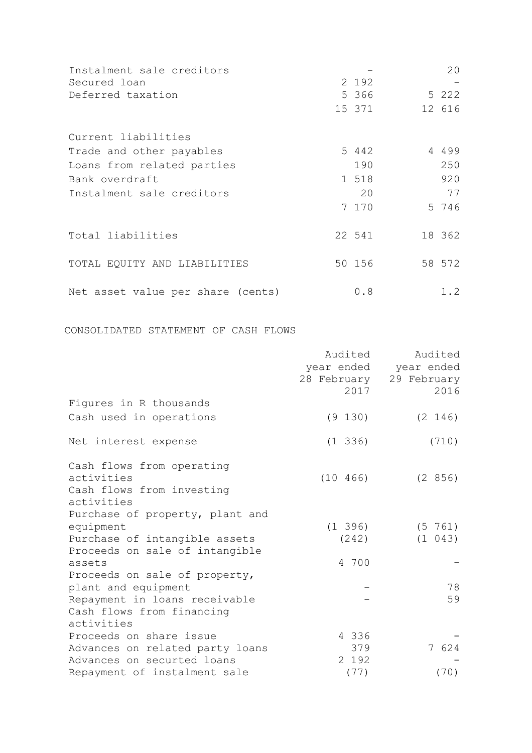| Instalment sale creditors         |         | 20      |
|-----------------------------------|---------|---------|
| Secured loan                      | 2 192   |         |
| Deferred taxation                 | 5 366   | 5 2 2 2 |
|                                   | 15 371  | 12 616  |
| Current liabilities               |         |         |
| Trade and other payables          | 5 4 4 2 | 4 4 9 9 |
| Loans from related parties        | 190     | 250     |
| Bank overdraft                    | 1 518   | 920     |
| Instalment sale creditors         | 20      | 77      |
|                                   | 7 170   | 5 746   |
| Total liabilities                 | 22 541  | 18 362  |
| TOTAL EQUITY AND LIABILITIES      | 50 156  | 58 572  |
| Net asset value per share (cents) | 0.8     | 1.2     |

CONSOLIDATED STATEMENT OF CASH FLOWS

|                                 | Audited      | Audited                 |
|---------------------------------|--------------|-------------------------|
|                                 |              | year ended year ended   |
|                                 |              | 28 February 29 February |
|                                 | 2017         | 2016                    |
| Figures in R thousands          |              |                         |
| Cash used in operations         | (9 130)      | (2 146)                 |
| Net interest expense            | $(1\;336)$   | (710)                   |
| Cash flows from operating       |              |                         |
| activities                      | (10 466)     | (2 856)                 |
| Cash flows from investing       |              |                         |
| activities                      |              |                         |
| Purchase of property, plant and |              |                         |
| equipment                       | $(1\ \ 396)$ | (5 761)                 |
| Purchase of intangible assets   | (242)        | (1 043)                 |
| Proceeds on sale of intangible  |              |                         |
| assets                          | 4 700        |                         |
| Proceeds on sale of property,   |              |                         |
| plant and equipment             |              | 78                      |
| Repayment in loans receivable   |              | 59                      |
| Cash flows from financing       |              |                         |
| activities                      |              |                         |
| Proceeds on share issue         | 4 336        |                         |
| Advances on related party loans | 379          | 7 624                   |
| Advances on securted loans      | 2 192        |                         |
| Repayment of instalment sale    | (77)         | (70)                    |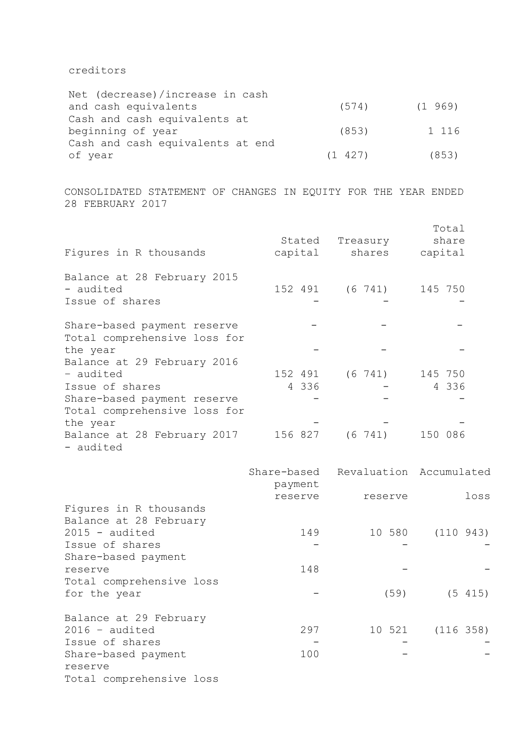# creditors

| Net (decrease)/increase in cash  |         |         |
|----------------------------------|---------|---------|
| and cash equivalents             | (574)   | (1969)  |
| Cash and cash equivalents at     |         |         |
| beginning of year                | (853)   | 1 1 1 6 |
| Cash and cash equivalents at end |         |         |
| of year                          | (1 427) | (853)   |

CONSOLIDATED STATEMENT OF CHANGES IN EQUITY FOR THE YEAR ENDED 28 FEBRUARY 2017

| Figures in R thousands                                      | Stated<br>capital | Treasury<br>shares | Total<br>share<br>capital |
|-------------------------------------------------------------|-------------------|--------------------|---------------------------|
| Balance at 28 February 2015<br>- audited<br>Issue of shares | 152 491           |                    | $(6\ 741)$ 145 750        |
| Share-based payment reserve<br>Total comprehensive loss for |                   |                    |                           |
| the year<br>Balance at 29 February 2016                     |                   |                    |                           |
| - audited                                                   | 152 491           | $(6\ \ 741)$       | 145 750                   |
| Issue of shares                                             | 4 336             |                    | 4 336                     |
| Share-based payment reserve<br>Total comprehensive loss for |                   |                    |                           |
| the year                                                    |                   |                    |                           |
| Balance at 28 February 2017<br>- audited                    | 156 827           | $(6\ 741)$         | 150 086                   |

|                          | payment | Share-based Revaluation Accumulated |           |
|--------------------------|---------|-------------------------------------|-----------|
|                          | reserve | reserve                             | loss      |
| Figures in R thousands   |         |                                     |           |
| Balance at 28 February   |         |                                     |           |
| $2015 - \text{audited}$  | 149     | 10 580                              | (110943)  |
| Issue of shares          |         |                                     |           |
| Share-based payment      |         |                                     |           |
| reserve                  | 148     |                                     |           |
| Total comprehensive loss |         |                                     |           |
| for the year             |         | (59)                                | (5 415)   |
| Balance at 29 February   |         |                                     |           |
| $2016 - \text{audited}$  | 297     | 10 521                              | (116 358) |
| Issue of shares          |         |                                     |           |
| Share-based payment      | 100     |                                     |           |
| reserve                  |         |                                     |           |
| Total comprehensive loss |         |                                     |           |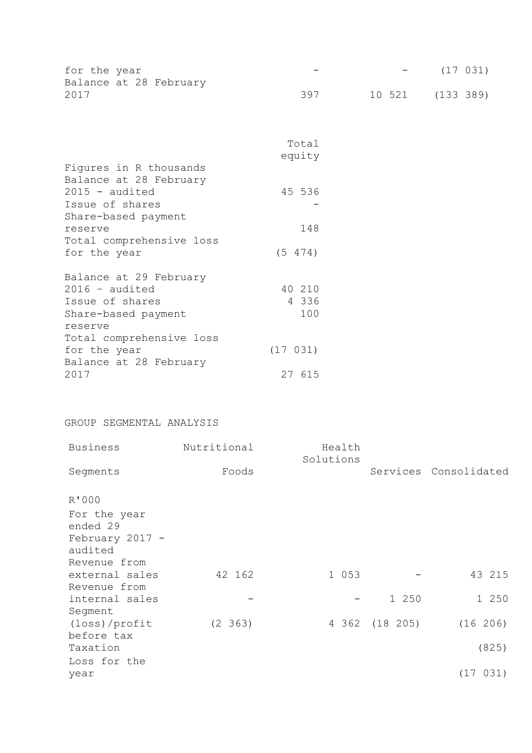| for the year |                        | $\sim$ | <b>Contract Contract Contract</b> | (17 031) |
|--------------|------------------------|--------|-----------------------------------|----------|
|              | Balance at 28 February |        |                                   |          |
| 2017         |                        | 397    | 10 521 (133 389)                  |          |

|                          | Total<br>equity |  |
|--------------------------|-----------------|--|
| Figures in R thousands   |                 |  |
| Balance at 28 February   |                 |  |
| $2015 - \text{audited}$  | 45 536          |  |
| Issue of shares          |                 |  |
| Share-based payment      |                 |  |
| reserve                  | 148             |  |
| Total comprehensive loss |                 |  |
| for the year             | (5 474)         |  |
| Balance at 29 February   |                 |  |
| $2016 - \text{audited}$  | 40 210          |  |
| Issue of shares          | 4 336           |  |
| Share-based payment      | 100             |  |
| reserve                  |                 |  |
| Total comprehensive loss |                 |  |
| for the year             | (17 031)        |  |
| Balance at 28 February   |                 |  |
| 2017                     | 27 615          |  |
|                          |                 |  |

# GROUP SEGMENTAL ANALYSIS

| <b>Business</b> | Nutritional | Health<br>Solutions |                |                       |
|-----------------|-------------|---------------------|----------------|-----------------------|
| Segments        | Foods       |                     |                | Services Consolidated |
| R'000           |             |                     |                |                       |
| For the year    |             |                     |                |                       |
| ended 29        |             |                     |                |                       |
| February 2017 - |             |                     |                |                       |
| audited         |             |                     |                |                       |
| Revenue from    |             |                     |                |                       |
| external sales  | 42 162      | 1 053               |                | 43 215                |
| Revenue from    |             |                     |                |                       |
| internal sales  |             |                     | 1 250          | 1 250                 |
| Segment         |             |                     |                |                       |
| (loss)/profit   | (2, 363)    |                     | 4 362 (18 205) | (16 206)              |
| before tax      |             |                     |                |                       |
| Taxation        |             |                     |                | (825)                 |
| Loss for the    |             |                     |                |                       |
| year            |             |                     |                | (17 031)              |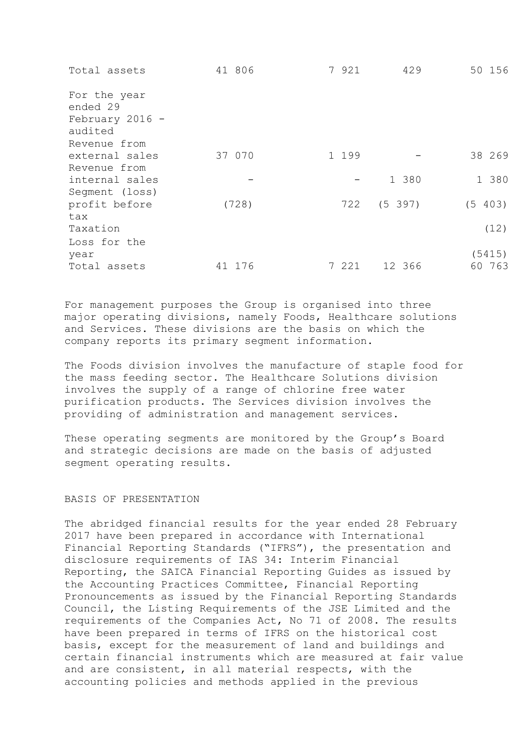| 50 156             |      |
|--------------------|------|
|                    |      |
|                    |      |
|                    |      |
| 38 269             |      |
|                    |      |
| 1 380<br>1 380     |      |
|                    |      |
| (5 397)<br>(5 403) |      |
|                    |      |
|                    | (12) |
|                    |      |
| (5415)             |      |
| 60 763<br>12 366   |      |
|                    | 429  |

For management purposes the Group is organised into three major operating divisions, namely Foods, Healthcare solutions and Services. These divisions are the basis on which the company reports its primary segment information.

The Foods division involves the manufacture of staple food for the mass feeding sector. The Healthcare Solutions division involves the supply of a range of chlorine free water purification products. The Services division involves the providing of administration and management services.

These operating segments are monitored by the Group's Board and strategic decisions are made on the basis of adjusted segment operating results.

# BASIS OF PRESENTATION

The abridged financial results for the year ended 28 February 2017 have been prepared in accordance with International Financial Reporting Standards ("IFRS"), the presentation and disclosure requirements of IAS 34: Interim Financial Reporting, the SAICA Financial Reporting Guides as issued by the Accounting Practices Committee, Financial Reporting Pronouncements as issued by the Financial Reporting Standards Council, the Listing Requirements of the JSE Limited and the requirements of the Companies Act, No 71 of 2008. The results have been prepared in terms of IFRS on the historical cost basis, except for the measurement of land and buildings and certain financial instruments which are measured at fair value and are consistent, in all material respects, with the accounting policies and methods applied in the previous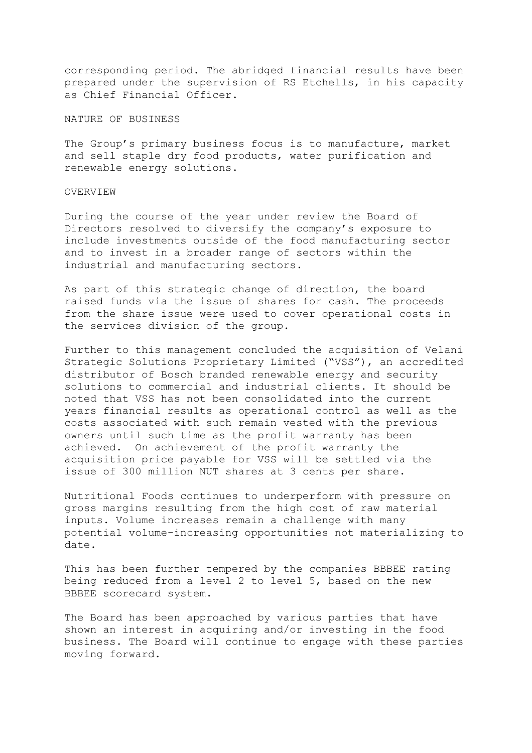corresponding period. The abridged financial results have been prepared under the supervision of RS Etchells, in his capacity as Chief Financial Officer.

NATURE OF BUSINESS

The Group's primary business focus is to manufacture, market and sell staple dry food products, water purification and renewable energy solutions.

# OVERVIEW

During the course of the year under review the Board of Directors resolved to diversify the company's exposure to include investments outside of the food manufacturing sector and to invest in a broader range of sectors within the industrial and manufacturing sectors.

As part of this strategic change of direction, the board raised funds via the issue of shares for cash. The proceeds from the share issue were used to cover operational costs in the services division of the group.

Further to this management concluded the acquisition of Velani Strategic Solutions Proprietary Limited ("VSS"), an accredited distributor of Bosch branded renewable energy and security solutions to commercial and industrial clients. It should be noted that VSS has not been consolidated into the current years financial results as operational control as well as the costs associated with such remain vested with the previous owners until such time as the profit warranty has been achieved. On achievement of the profit warranty the acquisition price payable for VSS will be settled via the issue of 300 million NUT shares at 3 cents per share.

Nutritional Foods continues to underperform with pressure on gross margins resulting from the high cost of raw material inputs. Volume increases remain a challenge with many potential volume-increasing opportunities not materializing to date.

This has been further tempered by the companies BBBEE rating being reduced from a level 2 to level 5, based on the new BBBEE scorecard system.

The Board has been approached by various parties that have shown an interest in acquiring and/or investing in the food business. The Board will continue to engage with these parties moving forward.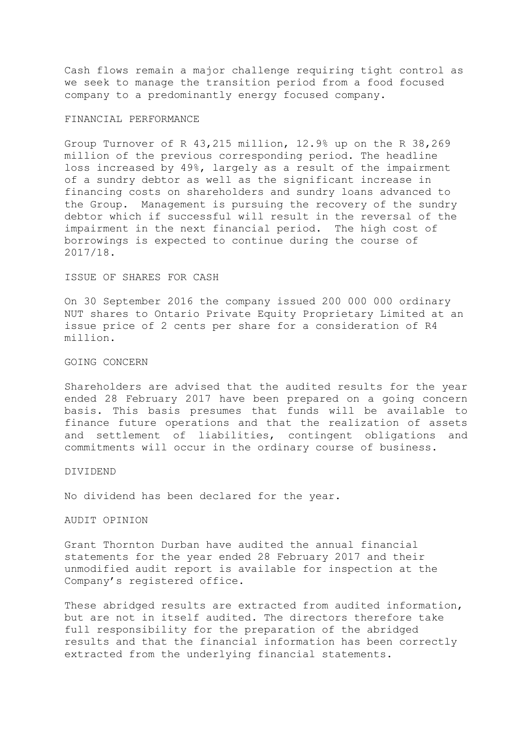Cash flows remain a major challenge requiring tight control as we seek to manage the transition period from a food focused company to a predominantly energy focused company.

#### FINANCIAL PERFORMANCE

Group Turnover of R 43,215 million, 12.9% up on the R 38,269 million of the previous corresponding period. The headline loss increased by 49%, largely as a result of the impairment of a sundry debtor as well as the significant increase in financing costs on shareholders and sundry loans advanced to the Group. Management is pursuing the recovery of the sundry debtor which if successful will result in the reversal of the impairment in the next financial period. The high cost of borrowings is expected to continue during the course of 2017/18.

#### ISSUE OF SHARES FOR CASH

On 30 September 2016 the company issued 200 000 000 ordinary NUT shares to Ontario Private Equity Proprietary Limited at an issue price of 2 cents per share for a consideration of R4 million.

# GOING CONCERN

Shareholders are advised that the audited results for the year ended 28 February 2017 have been prepared on a going concern basis. This basis presumes that funds will be available to finance future operations and that the realization of assets and settlement of liabilities, contingent obligations and commitments will occur in the ordinary course of business.

#### DIVIDEND

No dividend has been declared for the year.

#### AUDIT OPINION

Grant Thornton Durban have audited the annual financial statements for the year ended 28 February 2017 and their unmodified audit report is available for inspection at the Company's registered office.

These abridged results are extracted from audited information, but are not in itself audited. The directors therefore take full responsibility for the preparation of the abridged results and that the financial information has been correctly extracted from the underlying financial statements.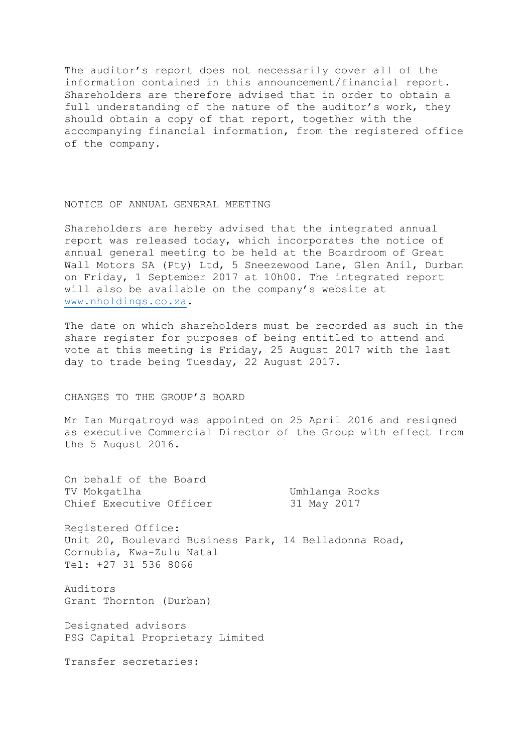The auditor's report does not necessarily cover all of the information contained in this announcement/financial report. Shareholders are therefore advised that in order to obtain a full understanding of the nature of the auditor's work, they should obtain a copy of that report, together with the accompanying financial information, from the registered office of the company.

### NOTICE OF ANNUAL GENERAL MEETING

Shareholders are hereby advised that the integrated annual report was released today, which incorporates the notice of annual general meeting to be held at the Boardroom of Great Wall Motors SA (Pty) Ltd, 5 Sneezewood Lane, Glen Anil, Durban on Friday, 1 September 2017 at 10h00. The integrated report will also be available on the company's website at [www.nholdings.co.za.](http://www.nholdings.co.za/)

The date on which shareholders must be recorded as such in the share register for purposes of being entitled to attend and vote at this meeting is Friday, 25 August 2017 with the last day to trade being Tuesday, 22 August 2017.

### CHANGES TO THE GROUP'S BOARD

Mr Ian Murgatroyd was appointed on 25 April 2016 and resigned as executive Commercial Director of the Group with effect from the 5 August 2016.

On behalf of the Board TV Mokgatlha 1988 TV Mokgatlha Umhlanga Rocks Chief Executive Officer 31 May 2017 Registered Office: Unit 20, Boulevard Business Park, 14 Belladonna Road, Cornubia, Kwa-Zulu Natal Tel: +27 31 536 8066 Auditors Grant Thornton (Durban) Designated advisors PSG Capital Proprietary Limited

Transfer secretaries: